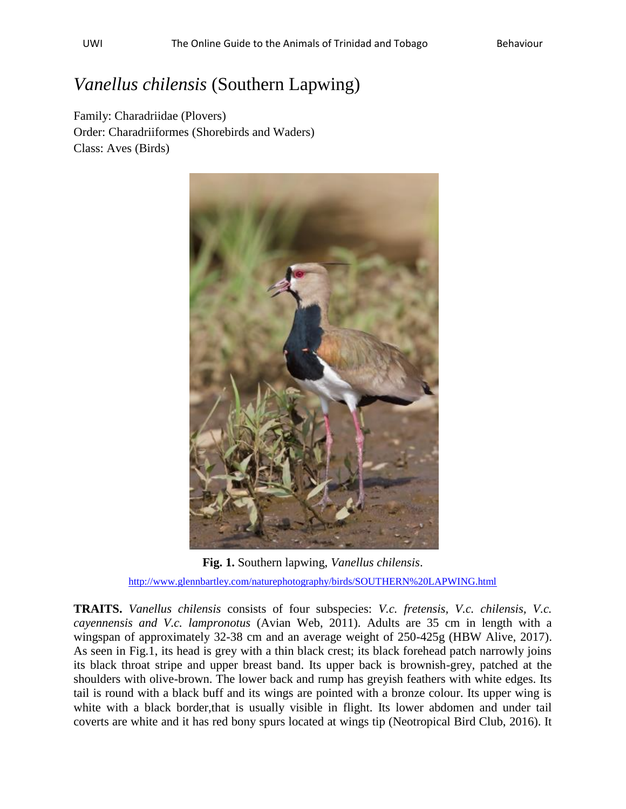## *Vanellus chilensis* (Southern Lapwing)

Family: Charadriidae (Plovers) Order: Charadriiformes (Shorebirds and Waders) Class: Aves (Birds)



**Fig. 1.** Southern lapwing, *Vanellus chilensis*. <http://www.glennbartley.com/naturephotography/birds/SOUTHERN%20LAPWING.html>

**TRAITS.** *Vanellus chilensis* consists of four subspecies: *V.c. fretensis, V.c. chilensis, V.c. cayennensis and V.c. lampronotus* (Avian Web, 2011). Adults are 35 cm in length with a wingspan of approximately 32-38 cm and an average weight of 250-425g (HBW Alive, 2017). As seen in Fig.1, its head is grey with a thin black crest; its black forehead patch narrowly joins its black throat stripe and upper breast band. Its upper back is brownish-grey, patched at the shoulders with olive-brown. The lower back and rump has greyish feathers with white edges. Its tail is round with a black buff and its wings are pointed with a bronze colour. Its upper wing is white with a black border,that is usually visible in flight. Its lower abdomen and under tail coverts are white and it has red bony spurs located at wings tip (Neotropical Bird Club, 2016). It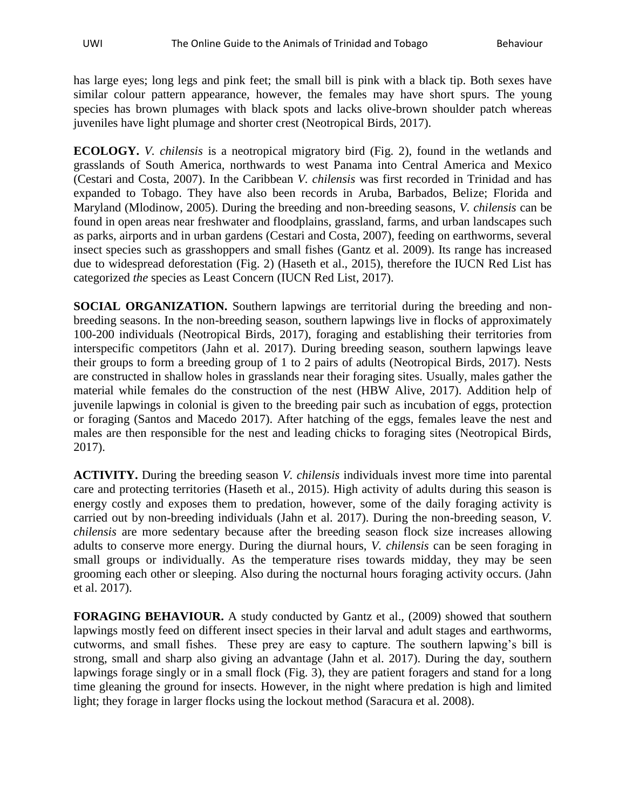has large eyes; long legs and pink feet; the small bill is pink with a black tip. Both sexes have similar colour pattern appearance, however, the females may have short spurs. The young species has brown plumages with black spots and lacks olive-brown shoulder patch whereas juveniles have light plumage and shorter crest (Neotropical Birds, 2017).

**ECOLOGY.** *V. chilensis* is a neotropical migratory bird (Fig. 2), found in the wetlands and grasslands of South America, northwards to west Panama into Central America and Mexico (Cestari and Costa, 2007). In the Caribbean *V. chilensis* was first recorded in Trinidad and has expanded to Tobago. They have also been records in Aruba, Barbados, Belize; Florida and Maryland (Mlodinow, 2005). During the breeding and non-breeding seasons, *V. chilensis* can be found in open areas near freshwater and floodplains, grassland, farms, and urban landscapes such as parks, airports and in urban gardens (Cestari and Costa, 2007), feeding on earthworms, several insect species such as grasshoppers and small fishes (Gantz et al. 2009). Its range has increased due to widespread deforestation (Fig. 2) (Haseth et al., 2015), therefore the IUCN Red List has categorized *the* species as Least Concern (IUCN Red List, 2017).

**SOCIAL ORGANIZATION.** Southern lapwings are territorial during the breeding and nonbreeding seasons. In the non-breeding season, southern lapwings live in flocks of approximately 100-200 individuals (Neotropical Birds, 2017), foraging and establishing their territories from interspecific competitors (Jahn et al. 2017). During breeding season, southern lapwings leave their groups to form a breeding group of 1 to 2 pairs of adults (Neotropical Birds, 2017). Nests are constructed in shallow holes in grasslands near their foraging sites. Usually, males gather the material while females do the construction of the nest (HBW Alive, 2017). Addition help of juvenile lapwings in colonial is given to the breeding pair such as incubation of eggs, protection or foraging (Santos and Macedo 2017). After hatching of the eggs, females leave the nest and males are then responsible for the nest and leading chicks to foraging sites (Neotropical Birds, 2017).

**ACTIVITY.** During the breeding season *V. chilensis* individuals invest more time into parental care and protecting territories (Haseth et al., 2015). High activity of adults during this season is energy costly and exposes them to predation, however, some of the daily foraging activity is carried out by non-breeding individuals (Jahn et al. 2017). During the non-breeding season, *V. chilensis* are more sedentary because after the breeding season flock size increases allowing adults to conserve more energy. During the diurnal hours, *V. chilensis* can be seen foraging in small groups or individually. As the temperature rises towards midday, they may be seen grooming each other or sleeping. Also during the nocturnal hours foraging activity occurs. (Jahn et al. 2017).

**FORAGING BEHAVIOUR.** A study conducted by Gantz et al., (2009) showed that southern lapwings mostly feed on different insect species in their larval and adult stages and earthworms, cutworms, and small fishes. These prey are easy to capture. The southern lapwing's bill is strong, small and sharp also giving an advantage (Jahn et al. 2017). During the day, southern lapwings forage singly or in a small flock (Fig. 3), they are patient foragers and stand for a long time gleaning the ground for insects. However, in the night where predation is high and limited light; they forage in larger flocks using the lockout method (Saracura et al. 2008).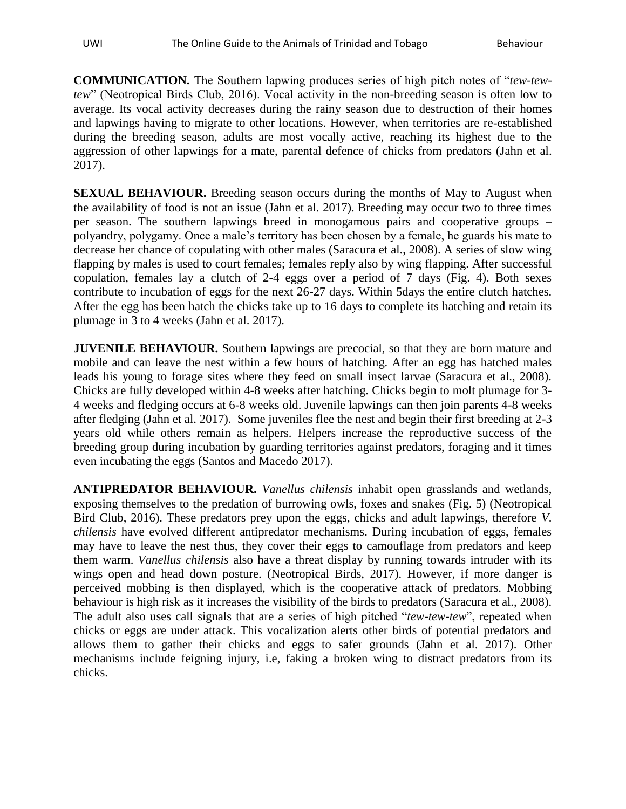**COMMUNICATION.** The Southern lapwing produces series of high pitch notes of "*tew-tewtew*" (Neotropical Birds Club, 2016). Vocal activity in the non-breeding season is often low to average. Its vocal activity decreases during the rainy season due to destruction of their homes and lapwings having to migrate to other locations. However, when territories are re-established during the breeding season, adults are most vocally active, reaching its highest due to the aggression of other lapwings for a mate, parental defence of chicks from predators (Jahn et al. 2017).

**SEXUAL BEHAVIOUR.** Breeding season occurs during the months of May to August when the availability of food is not an issue (Jahn et al. 2017). Breeding may occur two to three times per season. The southern lapwings breed in monogamous pairs and cooperative groups – polyandry, polygamy. Once a male's territory has been chosen by a female, he guards his mate to decrease her chance of copulating with other males (Saracura et al., 2008). A series of slow wing flapping by males is used to court females; females reply also by wing flapping. After successful copulation, females lay a clutch of 2-4 eggs over a period of 7 days (Fig. 4). Both sexes contribute to incubation of eggs for the next 26-27 days. Within 5days the entire clutch hatches. After the egg has been hatch the chicks take up to 16 days to complete its hatching and retain its plumage in 3 to 4 weeks (Jahn et al. 2017).

**JUVENILE BEHAVIOUR.** Southern lapwings are precocial, so that they are born mature and mobile and can leave the nest within a few hours of hatching. After an egg has hatched males leads his young to forage sites where they feed on small insect larvae (Saracura et al., 2008). Chicks are fully developed within 4-8 weeks after hatching. Chicks begin to molt plumage for 3- 4 weeks and fledging occurs at 6-8 weeks old. Juvenile lapwings can then join parents 4-8 weeks after fledging (Jahn et al. 2017). Some juveniles flee the nest and begin their first breeding at 2-3 years old while others remain as helpers. Helpers increase the reproductive success of the breeding group during incubation by guarding territories against predators, foraging and it times even incubating the eggs (Santos and Macedo 2017).

**ANTIPREDATOR BEHAVIOUR.** *Vanellus chilensis* inhabit open grasslands and wetlands, exposing themselves to the predation of burrowing owls, foxes and snakes (Fig. 5) (Neotropical Bird Club, 2016). These predators prey upon the eggs, chicks and adult lapwings, therefore *V. chilensis* have evolved different antipredator mechanisms. During incubation of eggs, females may have to leave the nest thus, they cover their eggs to camouflage from predators and keep them warm. *Vanellus chilensis* also have a threat display by running towards intruder with its wings open and head down posture. (Neotropical Birds, 2017). However, if more danger is perceived mobbing is then displayed, which is the cooperative attack of predators. Mobbing behaviour is high risk as it increases the visibility of the birds to predators (Saracura et al., 2008). The adult also uses call signals that are a series of high pitched "*tew-tew-tew*", repeated when chicks or eggs are under attack. This vocalization alerts other birds of potential predators and allows them to gather their chicks and eggs to safer grounds (Jahn et al. 2017). Other mechanisms include feigning injury, i.e, faking a broken wing to distract predators from its chicks.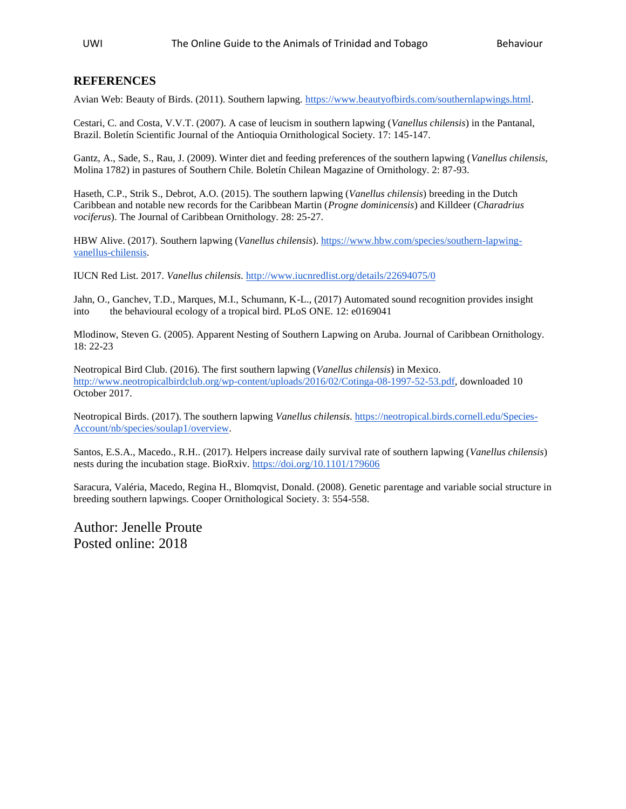## **REFERENCES**

Avian Web: Beauty of Birds. (2011). Southern lapwing. [https://www.beautyofbirds.com/southernlapwings.html.](https://www.beautyofbirds.com/southernlapwings.html)

Cestari, C. and Costa, V.V.T. (2007). A case of leucism in southern lapwing (*Vanellus chilensis*) in the Pantanal, Brazil. Boletín Scientific Journal of the Antioquia Ornithological Society. 17: 145-147.

Gantz, A., Sade, S., Rau, J. (2009). Winter diet and feeding preferences of the southern lapwing (*Vanellus chilensis*, Molina 1782) in pastures of Southern Chile. Boletín Chilean Magazine of Ornithology. 2: 87-93.

Haseth, C.P., Strik S., Debrot, A.O. (2015). The southern lapwing (*Vanellus chilensis*) breeding in the Dutch Caribbean and notable new records for the Caribbean Martin (*Progne dominicensis*) and Killdeer (*Charadrius vociferus*). The Journal of Caribbean Ornithology. 28: 25-27.

HBW Alive. (2017). Southern lapwing (*Vanellus chilensis*). [https://www.hbw.com/species/southern-lapwing](https://www.hbw.com/species/southern-lapwing-vanellus-chilensis)[vanellus-chilensis.](https://www.hbw.com/species/southern-lapwing-vanellus-chilensis)

IUCN Red List. 2017. *Vanellus chilensis*[. http://www.iucnredlist.org/details/22694075/0](http://www.iucnredlist.org/details/22694075/0)

Jahn, O., Ganchev, T.D., Marques, M.I., Schumann, K-L., (2017) Automated sound recognition provides insight into the behavioural ecology of a tropical bird. PLoS ONE. 12: e0169041

Mlodinow, Steven G. (2005). Apparent Nesting of Southern Lapwing on Aruba. Journal of Caribbean Ornithology. 18: 22-23

Neotropical Bird Club. (2016). The first southern lapwing (*Vanellus chilensis*) in Mexico. [http://www.neotropicalbirdclub.org/wp-content/uploads/2016/02/Cotinga-08-1997-52-53.pdf,](http://www.neotropicalbirdclub.org/wp-content/uploads/2016/02/Cotinga-08-1997-52-53.pdf) downloaded 10 October 2017.

Neotropical Birds. (2017). The southern lapwing *Vanellus chilensis*. [https://neotropical.birds.cornell.edu/Species-](https://neotropical.birds.cornell.edu/Species-Account/nb/species/soulap1/overview)[Account/nb/species/soulap1/overview.](https://neotropical.birds.cornell.edu/Species-Account/nb/species/soulap1/overview)

Santos, E.S.A., Macedo., R.H.. (2017). Helpers increase daily survival rate of southern lapwing (*Vanellus chilensis*) nests during the incubation stage. BioRxiv.<https://doi.org/10.1101/179606>

Saracura, Valéria, Macedo, Regina H., Blomqvist, Donald. (2008). Genetic parentage and variable social structure in breeding southern lapwings. Cooper Ornithological Society. 3: 554-558.

Author: Jenelle Proute Posted online: 2018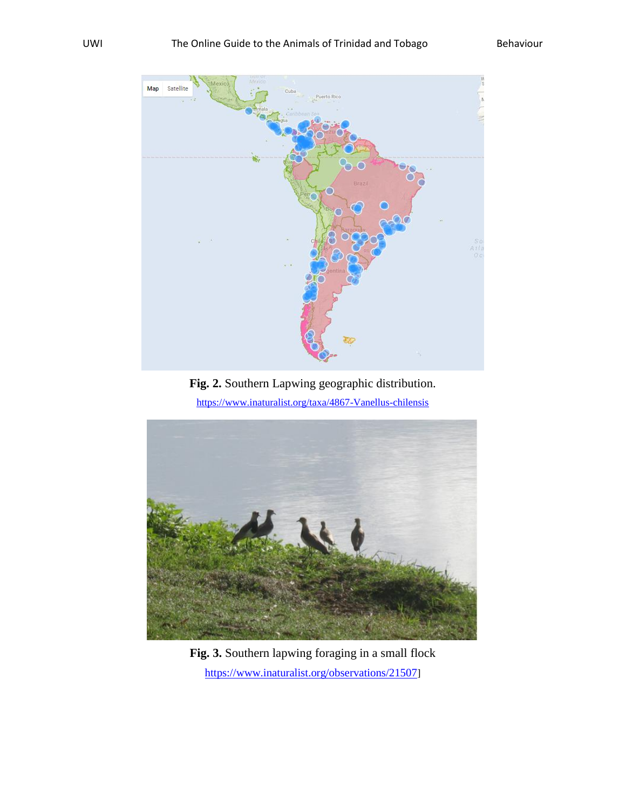

**Fig. 2.** Southern Lapwing geographic distribution.

<https://www.inaturalist.org/taxa/4867-Vanellus-chilensis>



**Fig. 3.** Southern lapwing foraging in a small flock <https://www.inaturalist.org/observations/21507>]